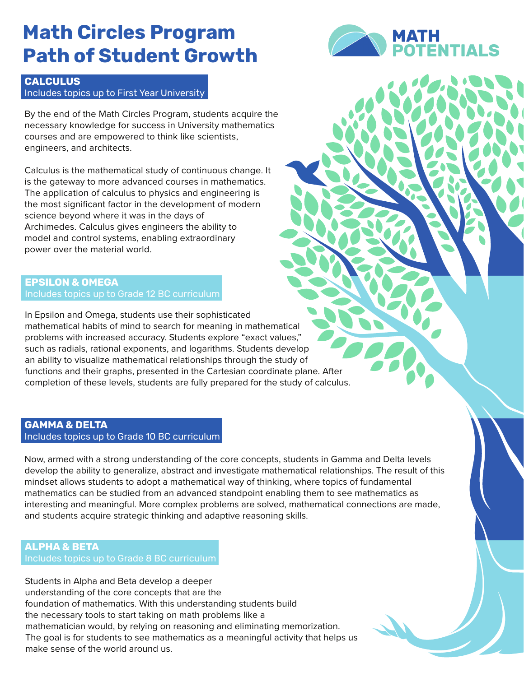## **Math Circles Program Path of Student Growth**

### **CALCULUS** Includes topics up to First Year University

By the end of the Math Circles Program, students acquire the necessary knowledge for success in University mathematics courses and are empowered to think like scientists, engineers, and architects.

Calculus is the mathematical study of continuous change. It is the gateway to more advanced courses in mathematics. The application of calculus to physics and engineering is the most significant factor in the development of modern science beyond where it was in the days of Archimedes. Calculus gives engineers the ability to model and control systems, enabling extraordinary power over the material world.

## **EPSILON & OMEGA** Includes topics up to Grade 12 BC curriculum

In Epsilon and Omega, students use their sophisticated mathematical habits of mind to search for meaning in mathematical problems with increased accuracy. Students explore "exact values," such as radials, rational exponents, and logarithms. Students develop an ability to visualize mathematical relationships through the study of functions and their graphs, presented in the Cartesian coordinate plane. After completion of these levels, students are fully prepared for the study of calculus.

## **GAMMA & DELTA** Includes topics up to Grade 10 BC curriculum

Now, armed with a strong understanding of the core concepts, students in Gamma and Delta levels develop the ability to generalize, abstract and investigate mathematical relationships. The result of this mindset allows students to adopt a mathematical way of thinking, where topics of fundamental mathematics can be studied from an advanced standpoint enabling them to see mathematics as interesting and meaningful. More complex problems are solved, mathematical connections are made, and students acquire strategic thinking and adaptive reasoning skills.

#### **ALPHA & BETA** Includes topics up to Grade 8 BC curriculum

Students in Alpha and Beta develop a deeper understanding of the core concepts that are the foundation of mathematics. With this understanding students build the necessary tools to start taking on math problems like a mathematician would, by relying on reasoning and eliminating memorization. The goal is for students to see mathematics as a meaningful activity that helps us make sense of the world around us.